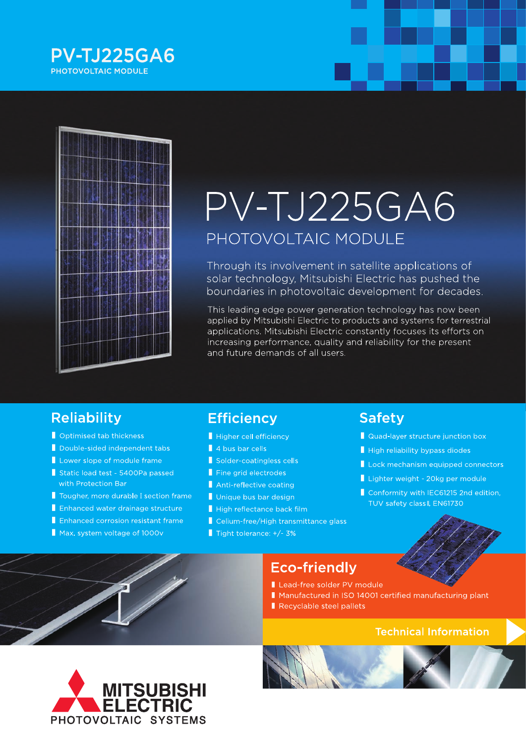



# PV-TJ225GA6 PHOTOVOLTAIC MODULE

Through its involvement in satellite applications of solar technology, Mitsubishi Electric has pushed the boundaries in photovoltaic development for decades.

This leading edge power generation technology has now been applied by Mitsubishi Electric to products and systems for terrestrial applications. Mitsubishi Electric constantly focuses its efforts on increasing performance, quality and reliability for the present and future demands of all users.

### **Reliability**

- Optimised tab thickness
- Double-sided independent tabs
- Lower slope of module frame
- Static load test 5400Pa passed with Protection Bar
- Tougher, more durable I section frame
- Enhanced water drainage structure
- Enhanced corrosion resistant frame
- Max. system voltage of 1000v

# **Efficiency**

- Higher cell efficiency
- 4 bus bar cells
- Solder-coatingless cells
- Fine grid electrodes
- Anti-reflective coating
- Unique bus bar design
- High reflectance back film
- Celium-free/High transmittance glass
- Tight tolerance:  $+/$  3%

### **Safety**

- Quad-layer structure junction box
- High reliability bypass diodes
- Lock mechanism equipped connectors
- Lighter weight 20kg per module
- Conformity with IEC61215 2nd edition, TUV safety class II, EN61730



## **Eco-friendly**

- Lead-free solder PV module
- Manufactured in ISO 14001 certified manufacturing plant
- Recyclable steel pallets

### **Technical Information**